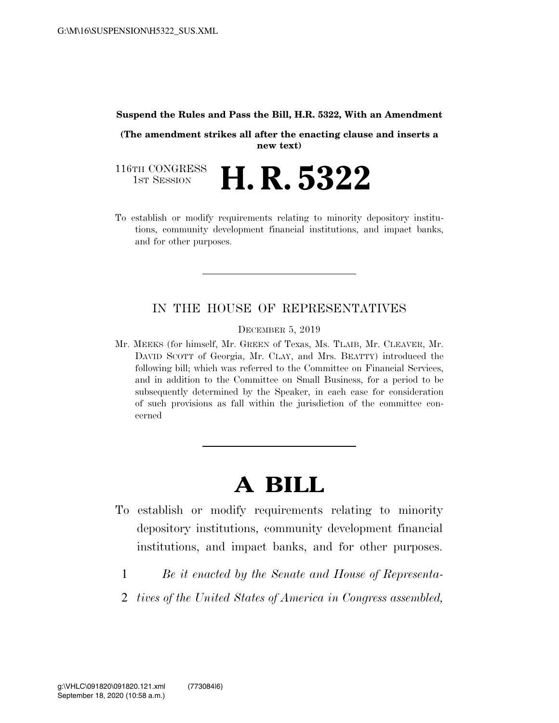#### **Suspend the Rules and Pass the Bill, H.R. 5322, With an Amendment**

**(The amendment strikes all after the enacting clause and inserts a new text)** 

116TH CONGRESS<br>1st Session 1ST SESSION **H. R. 5322** 

To establish or modify requirements relating to minority depository institutions, community development financial institutions, and impact banks, and for other purposes.

## IN THE HOUSE OF REPRESENTATIVES

DECEMBER 5, 2019

Mr. MEEKS (for himself, Mr. GREEN of Texas, Ms. TLAIB, Mr. CLEAVER, Mr. DAVID SCOTT of Georgia, Mr. CLAY, and Mrs. BEATTY) introduced the following bill; which was referred to the Committee on Financial Services, and in addition to the Committee on Small Business, for a period to be subsequently determined by the Speaker, in each case for consideration of such provisions as fall within the jurisdiction of the committee concerned

# **A BILL**

- To establish or modify requirements relating to minority depository institutions, community development financial institutions, and impact banks, and for other purposes.
	- 1 *Be it enacted by the Senate and House of Representa-*
	- 2 *tives of the United States of America in Congress assembled,*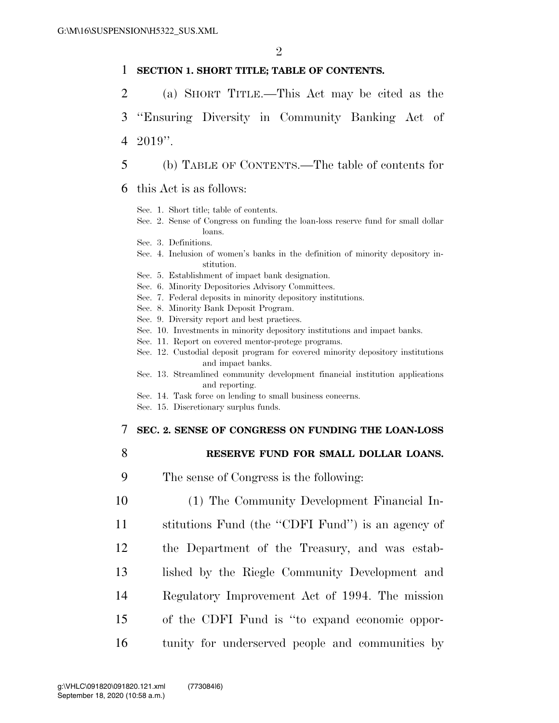#### 1 **SECTION 1. SHORT TITLE; TABLE OF CONTENTS.**

- 2 (a) SHORT TITLE.—This Act may be cited as the
- 3 ''Ensuring Diversity in Community Banking Act of 4 2019''.
- 5 (b) TABLE OF CONTENTS.—The table of contents for
- 6 this Act is as follows:
	- Sec. 1. Short title; table of contents.
	- Sec. 2. Sense of Congress on funding the loan-loss reserve fund for small dollar loans.
	- Sec. 3. Definitions.
	- Sec. 4. Inclusion of women's banks in the definition of minority depository institution.
	- Sec. 5. Establishment of impact bank designation.
	- Sec. 6. Minority Depositories Advisory Committees.
	- Sec. 7. Federal deposits in minority depository institutions.
	- Sec. 8. Minority Bank Deposit Program.
	- Sec. 9. Diversity report and best practices.
	- Sec. 10. Investments in minority depository institutions and impact banks.
	- Sec. 11. Report on covered mentor-protege programs.
	- Sec. 12. Custodial deposit program for covered minority depository institutions and impact banks.
	- Sec. 13. Streamlined community development financial institution applications and reporting.
	- Sec. 14. Task force on lending to small business concerns.
	- Sec. 15. Discretionary surplus funds.

#### 7 **SEC. 2. SENSE OF CONGRESS ON FUNDING THE LOAN-LOSS**

- 8 **RESERVE FUND FOR SMALL DOLLAR LOANS.**
- 9 The sense of Congress is the following:
- 10 (1) The Community Development Financial In-11 stitutions Fund (the ''CDFI Fund'') is an agency of 12 the Department of the Treasury, and was estab-13 lished by the Riegle Community Development and 14 Regulatory Improvement Act of 1994. The mission 15 of the CDFI Fund is ''to expand economic oppor-16 tunity for underserved people and communities by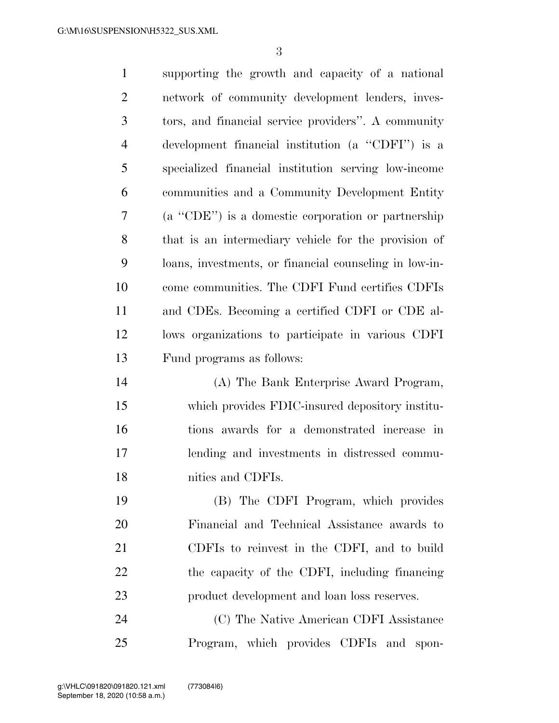| $\mathbf{1}$   | supporting the growth and capacity of a national       |
|----------------|--------------------------------------------------------|
| $\overline{2}$ | network of community development lenders, inves-       |
| 3              | tors, and financial service providers". A community    |
| $\overline{4}$ | development financial institution (a "CDFI") is a      |
| 5              | specialized financial institution serving low-income   |
| 6              | communities and a Community Development Entity         |
| 7              | $(a$ "CDE") is a domestic corporation or partnership   |
| 8              | that is an intermediary vehicle for the provision of   |
| 9              | loans, investments, or financial counseling in low-in- |
| 10             | come communities. The CDFI Fund certifies CDFIs        |
| 11             | and CDEs. Becoming a certified CDFI or CDE al-         |
| 12             | lows organizations to participate in various CDFI      |
| 13             | Fund programs as follows:                              |
| 14             | (A) The Bank Enterprise Award Program,                 |
| 15             | which provides FDIC-insured depository institu-        |
| 16             | tions awards for a demonstrated increase in            |
| 17             | lending and investments in distressed commu-           |
| 18             | nities and CDFIs.                                      |
| 19             | (B) The CDFI Program, which provides                   |
| 20             | Financial and Technical Assistance awards to           |
| 21             | CDFIs to reinvest in the CDFI, and to build            |
| 22             | the capacity of the CDFI, including financing          |
| 23             | product development and loan loss reserves.            |
| 24             | (C) The Native American CDFI Assistance                |
| 25             | Program, which provides CDFIs and<br>spon-             |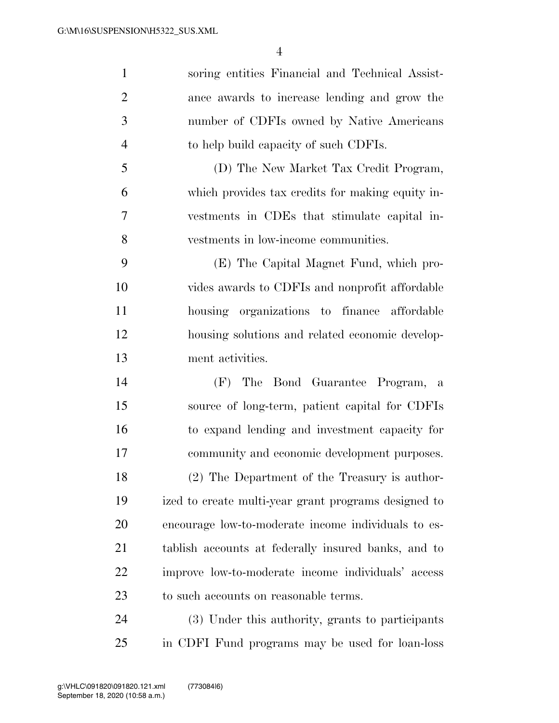| $\mathbf{1}$   | soring entities Financial and Technical Assist-      |
|----------------|------------------------------------------------------|
| $\overline{2}$ | ance awards to increase lending and grow the         |
| 3              | number of CDFIs owned by Native Americans            |
| $\overline{4}$ | to help build capacity of such CDFIs.                |
| 5              | (D) The New Market Tax Credit Program,               |
| 6              | which provides tax credits for making equity in-     |
| 7              | vestments in CDEs that stimulate capital in-         |
| 8              | vestments in low-income communities.                 |
| 9              | (E) The Capital Magnet Fund, which pro-              |
| 10             | vides awards to CDFIs and nonprofit affordable       |
| 11             | housing organizations to finance affordable          |
| 12             | housing solutions and related economic develop-      |
| 13             | ment activities.                                     |
| 14             | (F) The Bond Guarantee Program, a                    |
| 15             | source of long-term, patient capital for CDFIs       |
| 16             | to expand lending and investment capacity for        |
| 17             | community and economic development purposes.         |
| 18             | (2) The Department of the Treasury is author-        |
| 19             | ized to create multi-year grant programs designed to |
| 20             | encourage low-to-moderate income individuals to es-  |
| 21             | tablish accounts at federally insured banks, and to  |
| 22             | improve low-to-moderate income individuals' access   |
| 23             | to such accounts on reasonable terms.                |
| 24             | (3) Under this authority, grants to participants     |

in CDFI Fund programs may be used for loan-loss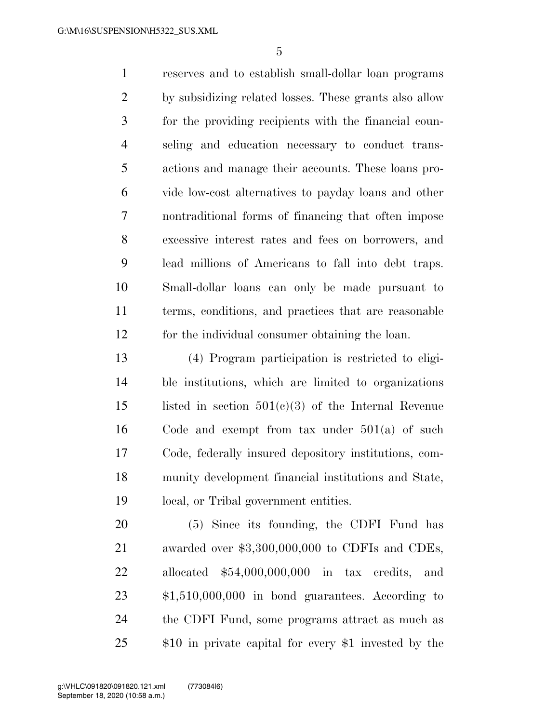reserves and to establish small-dollar loan programs by subsidizing related losses. These grants also allow for the providing recipients with the financial coun- seling and education necessary to conduct trans- actions and manage their accounts. These loans pro- vide low-cost alternatives to payday loans and other nontraditional forms of financing that often impose excessive interest rates and fees on borrowers, and lead millions of Americans to fall into debt traps. Small-dollar loans can only be made pursuant to terms, conditions, and practices that are reasonable for the individual consumer obtaining the loan.

 (4) Program participation is restricted to eligi- ble institutions, which are limited to organizations 15 listed in section  $501(c)(3)$  of the Internal Revenue Code and exempt from tax under 501(a) of such Code, federally insured depository institutions, com- munity development financial institutions and State, local, or Tribal government entities.

 (5) Since its founding, the CDFI Fund has awarded over \$3,300,000,000 to CDFIs and CDEs, allocated \$54,000,000,000 in tax credits, and \$1,510,000,000 in bond guarantees. According to the CDFI Fund, some programs attract as much as \$10 in private capital for every \$1 invested by the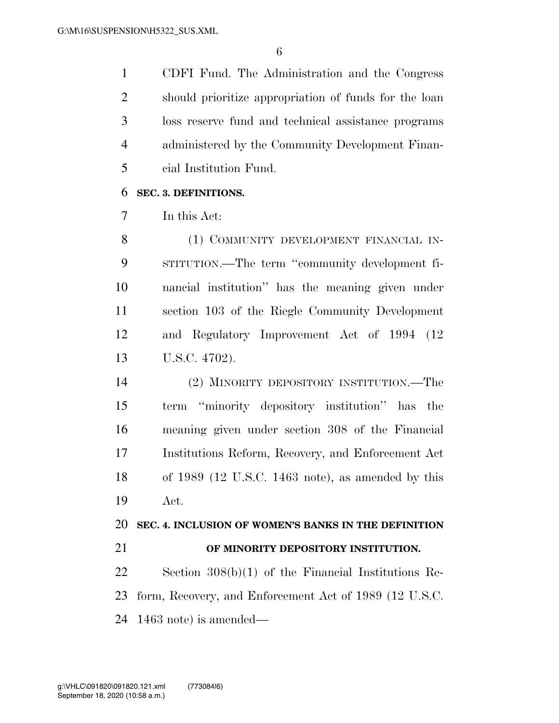CDFI Fund. The Administration and the Congress should prioritize appropriation of funds for the loan loss reserve fund and technical assistance programs administered by the Community Development Finan-cial Institution Fund.

## **SEC. 3. DEFINITIONS.**

In this Act:

8 (1) COMMUNITY DEVELOPMENT FINANCIAL IN- STITUTION.—The term ''community development fi- nancial institution'' has the meaning given under section 103 of the Riegle Community Development and Regulatory Improvement Act of 1994 (12 U.S.C. 4702).

 (2) MINORITY DEPOSITORY INSTITUTION.—The term ''minority depository institution'' has the meaning given under section 308 of the Financial Institutions Reform, Recovery, and Enforcement Act of 1989 (12 U.S.C. 1463 note), as amended by this Act.

### **SEC. 4. INCLUSION OF WOMEN'S BANKS IN THE DEFINITION**

**OF MINORITY DEPOSITORY INSTITUTION.** 

 Section 308(b)(1) of the Financial Institutions Re- form, Recovery, and Enforcement Act of 1989 (12 U.S.C. 1463 note) is amended—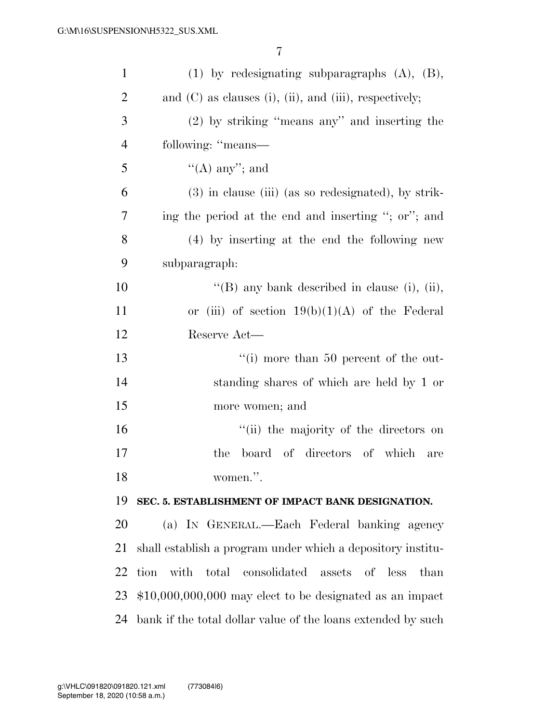| $\mathbf{1}$   | $(1)$ by redesignating subparagraphs $(A)$ , $(B)$ ,              |
|----------------|-------------------------------------------------------------------|
| $\overline{2}$ | and $(C)$ as clauses $(i)$ , $(ii)$ , and $(iii)$ , respectively; |
| 3              | (2) by striking "means any" and inserting the                     |
| $\overline{4}$ | following: "means-                                                |
| 5              | $\lq\lq$ (A) any''; and                                           |
| 6              | $(3)$ in clause (iii) (as so redesignated), by strik-             |
| 7              | ing the period at the end and inserting "; or"; and               |
| 8              | (4) by inserting at the end the following new                     |
| 9              | subparagraph:                                                     |
| 10             | "(B) any bank described in clause (i), (ii),                      |
| 11             | or (iii) of section $19(b)(1)(A)$ of the Federal                  |
| 12             | Reserve Act—                                                      |
| 13             | "(i) more than 50 percent of the out-                             |
| 14             | standing shares of which are held by 1 or                         |
| 15             | more women; and                                                   |
| 16             | "(ii) the majority of the directors on                            |
| 17             | board of directors of which<br>the<br>are                         |
| 18             | women.".                                                          |
| 19             | SEC. 5. ESTABLISHMENT OF IMPACT BANK DESIGNATION.                 |
| 20             | (a) IN GENERAL.—Each Federal banking agency                       |
| 21             | shall establish a program under which a depository institu-       |
| 22             | tion with total consolidated<br>assets of less<br>than            |
| 23             | $$10,000,000,000$ may elect to be designated as an impact         |
| 24             | bank if the total dollar value of the loans extended by such      |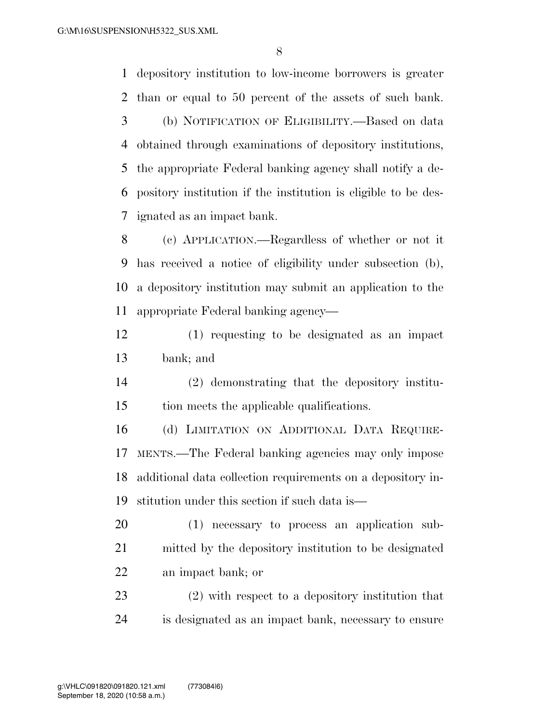depository institution to low-income borrowers is greater than or equal to 50 percent of the assets of such bank. (b) NOTIFICATION OF ELIGIBILITY.—Based on data obtained through examinations of depository institutions, the appropriate Federal banking agency shall notify a de- pository institution if the institution is eligible to be des- ignated as an impact bank. (c) APPLICATION.—Regardless of whether or not it

 has received a notice of eligibility under subsection (b), a depository institution may submit an application to the appropriate Federal banking agency—

 (1) requesting to be designated as an impact bank; and

 (2) demonstrating that the depository institu-tion meets the applicable qualifications.

 (d) LIMITATION ON ADDITIONAL DATA REQUIRE- MENTS.—The Federal banking agencies may only impose additional data collection requirements on a depository in-stitution under this section if such data is—

 (1) necessary to process an application sub- mitted by the depository institution to be designated an impact bank; or

 (2) with respect to a depository institution that is designated as an impact bank, necessary to ensure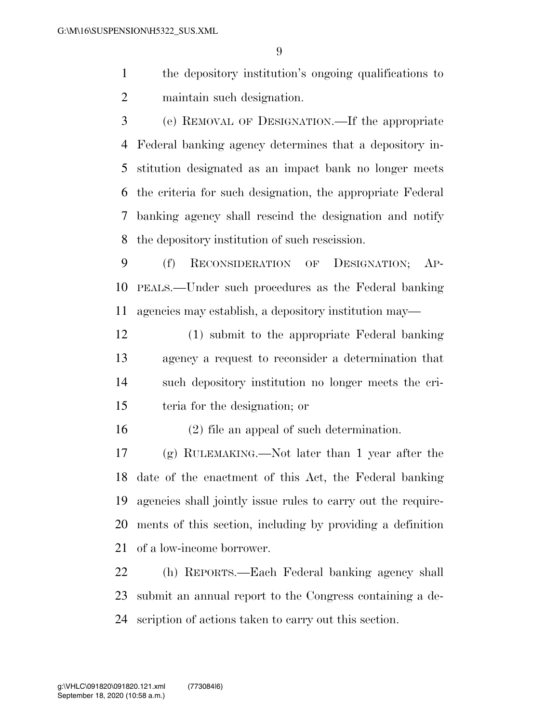- the depository institution's ongoing qualifications to maintain such designation.
- (e) REMOVAL OF DESIGNATION.—If the appropriate Federal banking agency determines that a depository in- stitution designated as an impact bank no longer meets the criteria for such designation, the appropriate Federal banking agency shall rescind the designation and notify the depository institution of such rescission.
- (f) RECONSIDERATION OF DESIGNATION; AP- PEALS.—Under such procedures as the Federal banking agencies may establish, a depository institution may—
- (1) submit to the appropriate Federal banking agency a request to reconsider a determination that such depository institution no longer meets the cri-teria for the designation; or

(2) file an appeal of such determination.

 (g) RULEMAKING.—Not later than 1 year after the date of the enactment of this Act, the Federal banking agencies shall jointly issue rules to carry out the require- ments of this section, including by providing a definition of a low-income borrower.

 (h) REPORTS.—Each Federal banking agency shall submit an annual report to the Congress containing a de-scription of actions taken to carry out this section.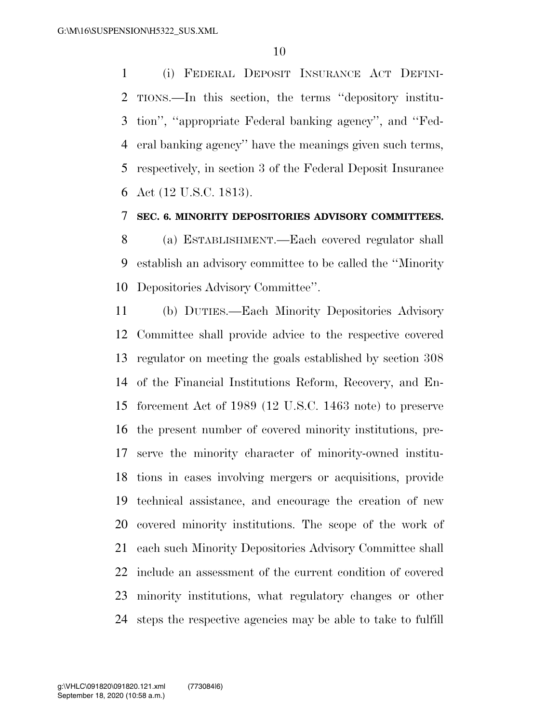(i) FEDERAL DEPOSIT INSURANCE ACT DEFINI- TIONS.—In this section, the terms ''depository institu- tion'', ''appropriate Federal banking agency'', and ''Fed- eral banking agency'' have the meanings given such terms, respectively, in section 3 of the Federal Deposit Insurance Act (12 U.S.C. 1813).

#### **SEC. 6. MINORITY DEPOSITORIES ADVISORY COMMITTEES.**

 (a) ESTABLISHMENT.—Each covered regulator shall establish an advisory committee to be called the ''Minority Depositories Advisory Committee''.

 (b) DUTIES.—Each Minority Depositories Advisory Committee shall provide advice to the respective covered regulator on meeting the goals established by section 308 of the Financial Institutions Reform, Recovery, and En- forcement Act of 1989 (12 U.S.C. 1463 note) to preserve the present number of covered minority institutions, pre- serve the minority character of minority-owned institu- tions in cases involving mergers or acquisitions, provide technical assistance, and encourage the creation of new covered minority institutions. The scope of the work of each such Minority Depositories Advisory Committee shall include an assessment of the current condition of covered minority institutions, what regulatory changes or other steps the respective agencies may be able to take to fulfill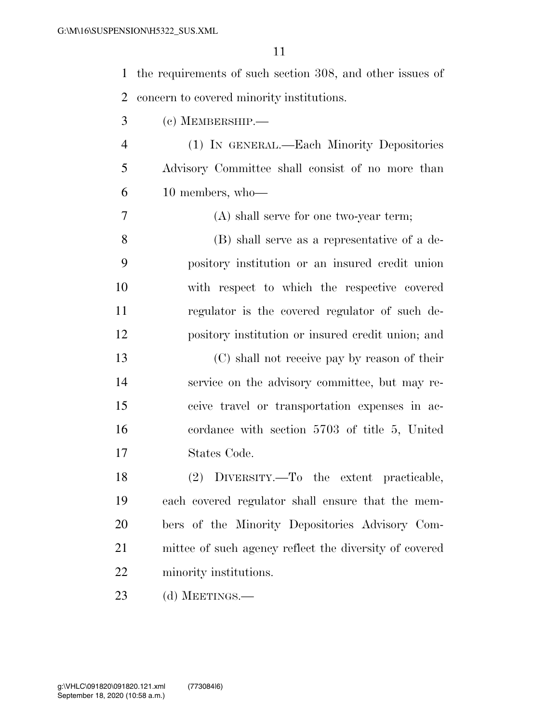| $\mathbf 1$    | the requirements of such section 308, and other issues of |
|----------------|-----------------------------------------------------------|
| 2              | concern to covered minority institutions.                 |
| 3              | $(c)$ MEMBERSHIP.—                                        |
| $\overline{4}$ | (1) IN GENERAL.—Each Minority Depositories                |
| 5              | Advisory Committee shall consist of no more than          |
| 6              | 10 members, who-                                          |
| 7              | (A) shall serve for one two-year term;                    |
| 8              | (B) shall serve as a representative of a de-              |
| 9              | pository institution or an insured credit union           |
| 10             | with respect to which the respective covered              |
| 11             | regulator is the covered regulator of such de-            |
| 12             | pository institution or insured credit union; and         |
| 13             | (C) shall not receive pay by reason of their              |
| 14             | service on the advisory committee, but may re-            |
| 15             | ceive travel or transportation expenses in ac-            |
| 16             | cordance with section 5703 of title 5, United             |
| 17             | States Code.                                              |
| 18             | (2) DIVERSITY.—To the extent practicable,                 |
| 19             | each covered regulator shall ensure that the mem-         |
| 20             | bers of the Minority Depositories Advisory Com-           |
| 21             | mittee of such agency reflect the diversity of covered    |
| 22             | minority institutions.                                    |
| 23             | (d) MEETINGS.—                                            |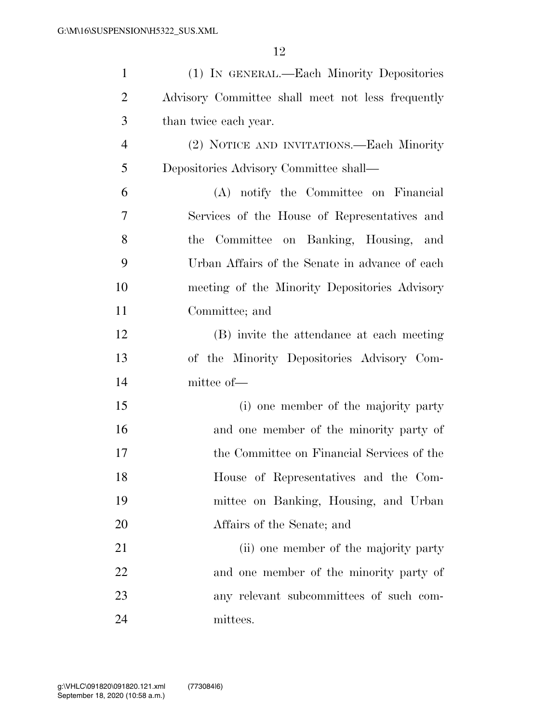| $\mathbf{1}$   | (1) IN GENERAL.—Each Minority Depositories        |
|----------------|---------------------------------------------------|
| $\overline{2}$ | Advisory Committee shall meet not less frequently |
| 3              | than twice each year.                             |
| $\overline{4}$ | (2) NOTICE AND INVITATIONS.—Each Minority         |
| 5              | Depositories Advisory Committee shall-            |
| 6              | (A) notify the Committee on Financial             |
| 7              | Services of the House of Representatives and      |
| 8              | Committee on Banking, Housing, and<br>the         |
| 9              | Urban Affairs of the Senate in advance of each    |
| 10             | meeting of the Minority Depositories Advisory     |
| 11             | Committee; and                                    |
| 12             | (B) invite the attendance at each meeting         |
| 13             | of the Minority Depositories Advisory Com-        |
| 14             | mittee of—                                        |
| 15             | (i) one member of the majority party              |
| 16             | and one member of the minority party of           |
| 17             | the Committee on Financial Services of the        |
| 18             | House of Representatives and the Com-             |
| 19             | mittee on Banking, Housing, and Urban             |
| 20             | Affairs of the Senate; and                        |
| 21             | (ii) one member of the majority party             |
| 22             | and one member of the minority party of           |
| 23             | any relevant subcommittees of such com-           |
| 24             | mittees.                                          |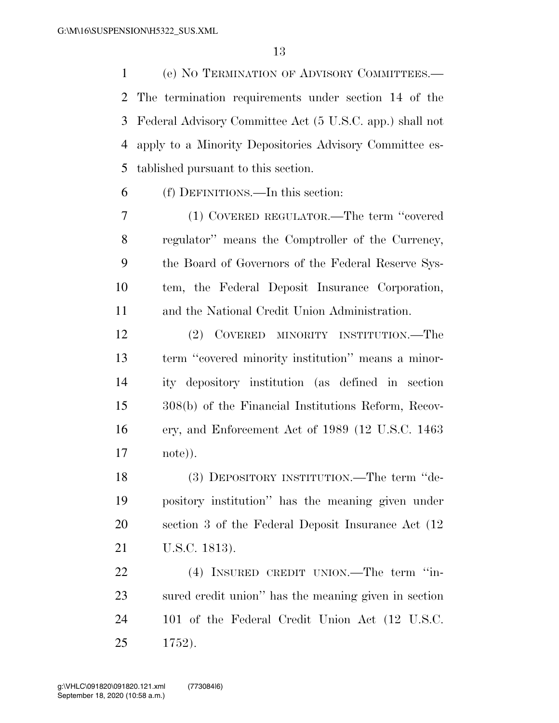(e) NO TERMINATION OF ADVISORY COMMITTEES.— The termination requirements under section 14 of the Federal Advisory Committee Act (5 U.S.C. app.) shall not apply to a Minority Depositories Advisory Committee es-tablished pursuant to this section.

(f) DEFINITIONS.—In this section:

 (1) COVERED REGULATOR.—The term ''covered regulator'' means the Comptroller of the Currency, the Board of Governors of the Federal Reserve Sys- tem, the Federal Deposit Insurance Corporation, and the National Credit Union Administration.

 (2) COVERED MINORITY INSTITUTION.—The term ''covered minority institution'' means a minor- ity depository institution (as defined in section 308(b) of the Financial Institutions Reform, Recov- ery, and Enforcement Act of 1989 (12 U.S.C. 1463 note)).

 (3) DEPOSITORY INSTITUTION.—The term ''de- pository institution'' has the meaning given under section 3 of the Federal Deposit Insurance Act (12 U.S.C. 1813).

22 (4) INSURED CREDIT UNION.—The term "in- sured credit union'' has the meaning given in section 101 of the Federal Credit Union Act (12 U.S.C. 1752).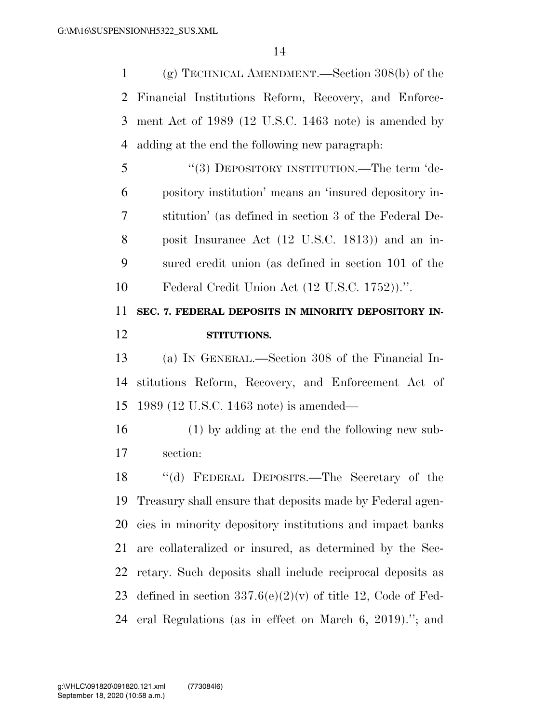(g) TECHNICAL AMENDMENT.—Section 308(b) of the Financial Institutions Reform, Recovery, and Enforce- ment Act of 1989 (12 U.S.C. 1463 note) is amended by adding at the end the following new paragraph:

 ''(3) DEPOSITORY INSTITUTION.—The term 'de- pository institution' means an 'insured depository in- stitution' (as defined in section 3 of the Federal De- posit Insurance Act (12 U.S.C. 1813)) and an in- sured credit union (as defined in section 101 of the Federal Credit Union Act (12 U.S.C. 1752)).''.

# **SEC. 7. FEDERAL DEPOSITS IN MINORITY DEPOSITORY IN-STITUTIONS.**

 (a) IN GENERAL.—Section 308 of the Financial In- stitutions Reform, Recovery, and Enforcement Act of 1989 (12 U.S.C. 1463 note) is amended—

 (1) by adding at the end the following new sub-section:

 ''(d) FEDERAL DEPOSITS.—The Secretary of the Treasury shall ensure that deposits made by Federal agen- cies in minority depository institutions and impact banks are collateralized or insured, as determined by the Sec- retary. Such deposits shall include reciprocal deposits as 23 defined in section  $337.6(e)(2)(v)$  of title 12, Code of Fed-eral Regulations (as in effect on March 6, 2019).''; and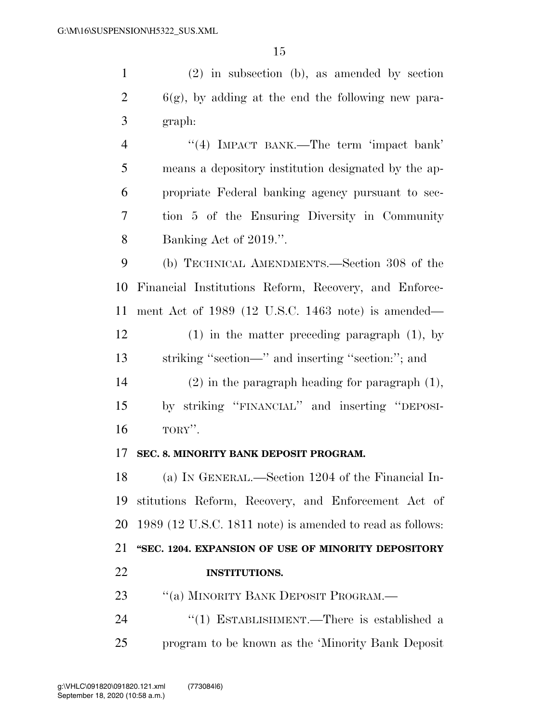(2) in subsection (b), as amended by section  $2 \qquad 6(g)$ , by adding at the end the following new para- graph: 4 "(4) IMPACT BANK.—The term 'impact bank'

 means a depository institution designated by the ap- propriate Federal banking agency pursuant to sec- tion 5 of the Ensuring Diversity in Community Banking Act of 2019.''.

 (b) TECHNICAL AMENDMENTS.—Section 308 of the Financial Institutions Reform, Recovery, and Enforce- ment Act of 1989 (12 U.S.C. 1463 note) is amended— (1) in the matter preceding paragraph (1), by

striking ''section—'' and inserting ''section:''; and

 (2) in the paragraph heading for paragraph (1), by striking ''FINANCIAL'' and inserting ''DEPOSI-TORY''.

#### **SEC. 8. MINORITY BANK DEPOSIT PROGRAM.**

 (a) IN GENERAL.—Section 1204 of the Financial In- stitutions Reform, Recovery, and Enforcement Act of 1989 (12 U.S.C. 1811 note) is amended to read as follows: **''SEC. 1204. EXPANSION OF USE OF MINORITY DEPOSITORY INSTITUTIONS.** 

23 ""(a) MINORITY BANK DEPOSIT PROGRAM.—

24 "(1) ESTABLISHMENT.—There is established a program to be known as the 'Minority Bank Deposit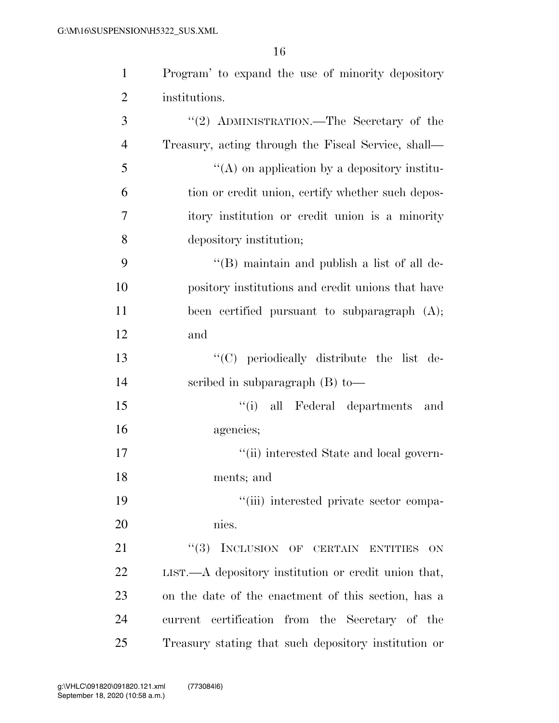| $\mathbf{1}$   | Program' to expand the use of minority depository                  |
|----------------|--------------------------------------------------------------------|
| $\overline{2}$ | institutions.                                                      |
| 3              | "(2) ADMINISTRATION.—The Secretary of the                          |
| $\overline{4}$ | Treasury, acting through the Fiscal Service, shall—                |
| 5              | $\lq\lq$ on application by a depository institu-                   |
| 6              | tion or credit union, certify whether such depos-                  |
| 7              | itory institution or credit union is a minority                    |
| 8              | depository institution;                                            |
| 9              | $\lq\lq (B)$ maintain and publish a list of all de-                |
| 10             | pository institutions and credit unions that have                  |
| 11             | been certified pursuant to subparagraph (A);                       |
| 12             | and                                                                |
| 13             | "(C) periodically distribute the list de-                          |
| 14             | scribed in subparagraph $(B)$ to-                                  |
| 15             | "(i) all Federal departments<br>and                                |
| 16             | agencies;                                                          |
| 17             | "(ii) interested State and local govern-                           |
| 18             | ments; and                                                         |
| 19             | "(iii) interested private sector compa-                            |
| 20             | nies.                                                              |
| 21             | "(3) INCLUSION OF CERTAIN ENTITIES<br>ON                           |
| 22             | $LIST. \rightarrow A$ depository institution or credit union that, |
| 23             | on the date of the enactment of this section, has a                |
| 24             | current certification from the Secretary of the                    |
| 25             | Treasury stating that such depository institution or               |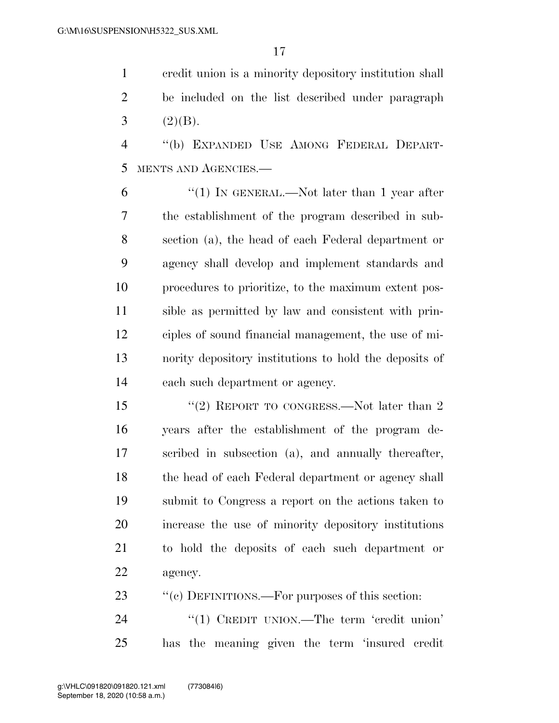credit union is a minority depository institution shall be included on the list described under paragraph 3  $(2)(B)$ .

 ''(b) EXPANDED USE AMONG FEDERAL DEPART-MENTS AND AGENCIES.—

 $(1)$  In GENERAL.—Not later than 1 year after the establishment of the program described in sub- section (a), the head of each Federal department or agency shall develop and implement standards and procedures to prioritize, to the maximum extent pos- sible as permitted by law and consistent with prin- ciples of sound financial management, the use of mi- nority depository institutions to hold the deposits of each such department or agency.

15 "(2) REPORT TO CONGRESS.—Not later than 2 years after the establishment of the program de- scribed in subsection (a), and annually thereafter, 18 the head of each Federal department or agency shall submit to Congress a report on the actions taken to increase the use of minority depository institutions to hold the deposits of each such department or agency.

23 ""(c) DEFINITIONS.—For purposes of this section:

24 "(1) CREDIT UNION.—The term 'credit union' has the meaning given the term 'insured credit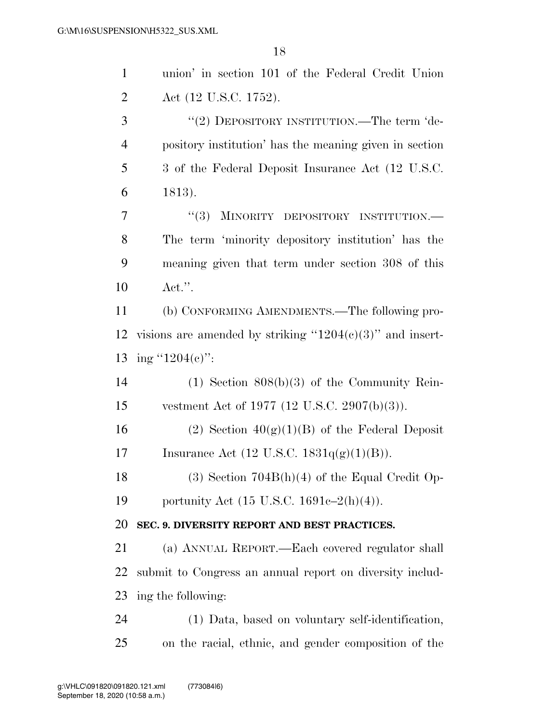| $\mathbf{1}$   | union' in section 101 of the Federal Credit Union            |
|----------------|--------------------------------------------------------------|
| $\overline{2}$ | Act (12 U.S.C. 1752).                                        |
| 3              | "(2) DEPOSITORY INSTITUTION.—The term 'de-                   |
| $\overline{4}$ | pository institution' has the meaning given in section       |
| 5              | 3 of the Federal Deposit Insurance Act (12 U.S.C.            |
| 6              | 1813).                                                       |
| 7              | MINORITY DEPOSITORY INSTITUTION.-<br>(3)                     |
| 8              | The term 'minority depository institution' has the           |
| 9              | meaning given that term under section 308 of this            |
| 10             | $\text{Act."}.$                                              |
| 11             | (b) CONFORMING AMENDMENTS.—The following pro-                |
| 12             | visions are amended by striking " $1204(c)(3)$ " and insert- |
| 13             | ing "1204(e)":                                               |
| 14             | $(1)$ Section $808(b)(3)$ of the Community Rein-             |
| 15             | vestment Act of 1977 (12 U.S.C. 2907(b)(3)).                 |
| 16             | (2) Section $40(g)(1)(B)$ of the Federal Deposit             |
| 17             | Insurance Act (12 U.S.C. $1831q(g)(1)(B)$ ).                 |
| 18             | $(3)$ Section 704B(h)(4) of the Equal Credit Op-             |
| 19             | portunity Act (15 U.S.C. 1691e–2(h)(4)).                     |
| 20             | SEC. 9. DIVERSITY REPORT AND BEST PRACTICES.                 |
| 21             | (a) ANNUAL REPORT.—Each covered regulator shall              |
| 22             | submit to Congress an annual report on diversity includ-     |
| 23             | ing the following:                                           |
| 24             | (1) Data, based on voluntary self-identification,            |
| 25             | on the racial, ethnic, and gender composition of the         |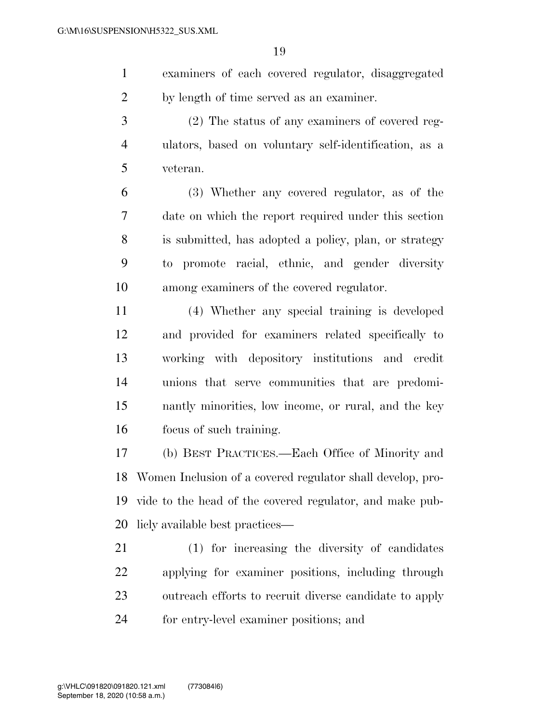examiners of each covered regulator, disaggregated by length of time served as an examiner.

 (2) The status of any examiners of covered reg- ulators, based on voluntary self-identification, as a veteran.

 (3) Whether any covered regulator, as of the date on which the report required under this section is submitted, has adopted a policy, plan, or strategy to promote racial, ethnic, and gender diversity among examiners of the covered regulator.

 (4) Whether any special training is developed and provided for examiners related specifically to working with depository institutions and credit unions that serve communities that are predomi- nantly minorities, low income, or rural, and the key focus of such training.

 (b) BEST PRACTICES.—Each Office of Minority and Women Inclusion of a covered regulator shall develop, pro- vide to the head of the covered regulator, and make pub-licly available best practices—

 (1) for increasing the diversity of candidates applying for examiner positions, including through outreach efforts to recruit diverse candidate to apply for entry-level examiner positions; and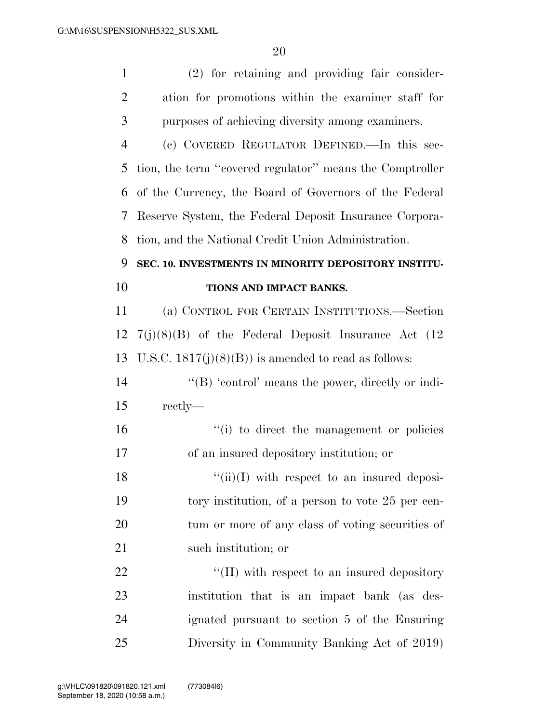| $\mathbf 1$    | (2) for retaining and providing fair consider-           |
|----------------|----------------------------------------------------------|
| $\overline{2}$ | ation for promotions within the examiner staff for       |
| 3              | purposes of achieving diversity among examiners.         |
| $\overline{4}$ | (c) COVERED REGULATOR DEFINED.—In this sec-              |
| 5              | tion, the term "covered regulator" means the Comptroller |
| 6              | of the Currency, the Board of Governors of the Federal   |
| 7              | Reserve System, the Federal Deposit Insurance Corpora-   |
| 8              | tion, and the National Credit Union Administration.      |
| 9              | SEC. 10. INVESTMENTS IN MINORITY DEPOSITORY INSTITU-     |
| 10             | TIONS AND IMPACT BANKS.                                  |
| 11             | (a) CONTROL FOR CERTAIN INSTITUTIONS.—Section            |
| 12             | $7(j)(8)(B)$ of the Federal Deposit Insurance Act (12)   |
| 13             | U.S.C. $1817(j)(8)(B)$ is amended to read as follows:    |
| 14             | " $(B)$ 'control' means the power, directly or indi-     |
| 15             | rectly—                                                  |
| 16             | "(i) to direct the management or policies                |
| 17             | of an insured depository institution; or                 |
| 18             | $\lq\lq$ (ii)(I) with respect to an insured deposi-      |
| 19             | tory institution, of a person to vote 25 per cen-        |
| 20             | tum or more of any class of voting securities of         |
| 21             | such institution; or                                     |
| 22             | "(II) with respect to an insured depository              |
| 23             | institution that is an impact bank (as des-              |
| 24             | ignated pursuant to section 5 of the Ensuring            |
| 25             | Diversity in Community Banking Act of 2019)              |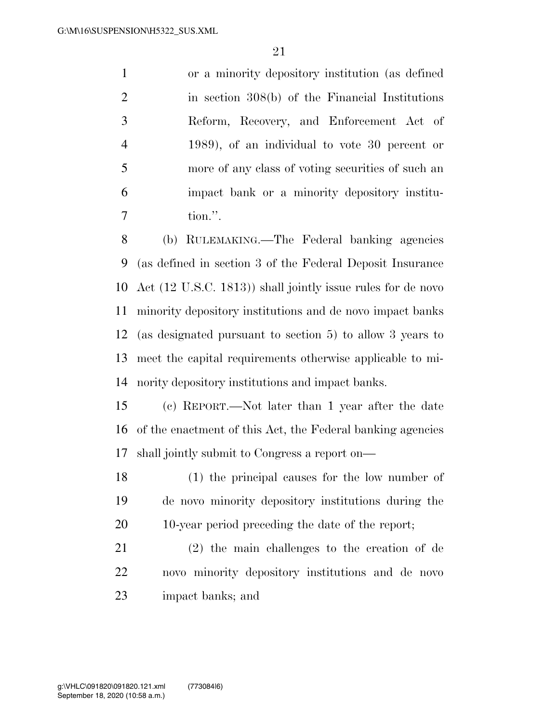or a minority depository institution (as defined in section 308(b) of the Financial Institutions Reform, Recovery, and Enforcement Act of 1989), of an individual to vote 30 percent or more of any class of voting securities of such an impact bank or a minority depository institu-tion.''.

 (b) RULEMAKING.—The Federal banking agencies (as defined in section 3 of the Federal Deposit Insurance Act (12 U.S.C. 1813)) shall jointly issue rules for de novo minority depository institutions and de novo impact banks (as designated pursuant to section 5) to allow 3 years to meet the capital requirements otherwise applicable to mi-nority depository institutions and impact banks.

 (c) REPORT.—Not later than 1 year after the date of the enactment of this Act, the Federal banking agencies shall jointly submit to Congress a report on—

 (1) the principal causes for the low number of de novo minority depository institutions during the 10-year period preceding the date of the report;

 (2) the main challenges to the creation of de novo minority depository institutions and de novo impact banks; and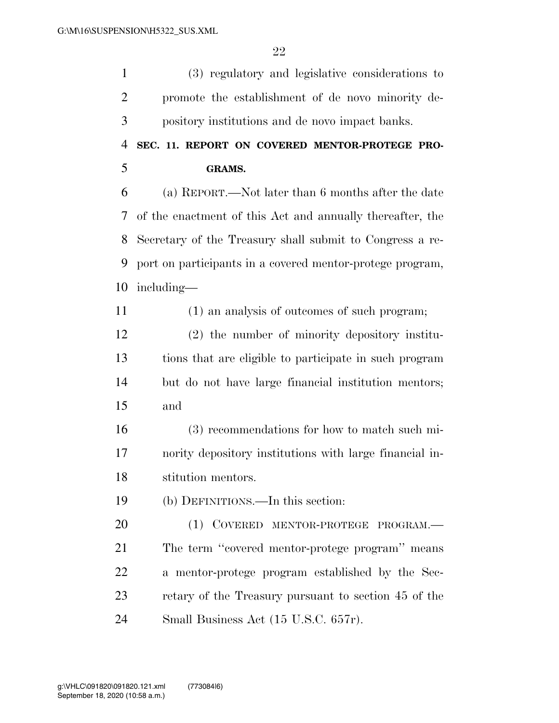(3) regulatory and legislative considerations to promote the establishment of de novo minority de- pository institutions and de novo impact banks. **SEC. 11. REPORT ON COVERED MENTOR-PROTEGE PRO- GRAMS.**  (a) REPORT.—Not later than 6 months after the date of the enactment of this Act and annually thereafter, the Secretary of the Treasury shall submit to Congress a re- port on participants in a covered mentor-protege program, including— (1) an analysis of outcomes of such program; (2) the number of minority depository institu- tions that are eligible to participate in such program but do not have large financial institution mentors; and (3) recommendations for how to match such mi- nority depository institutions with large financial in- stitution mentors. (b) DEFINITIONS.—In this section: 20 (1) COVERED MENTOR-PROTEGE PROGRAM. The term ''covered mentor-protege program'' means a mentor-protege program established by the Sec-retary of the Treasury pursuant to section 45 of the

Small Business Act (15 U.S.C. 657r).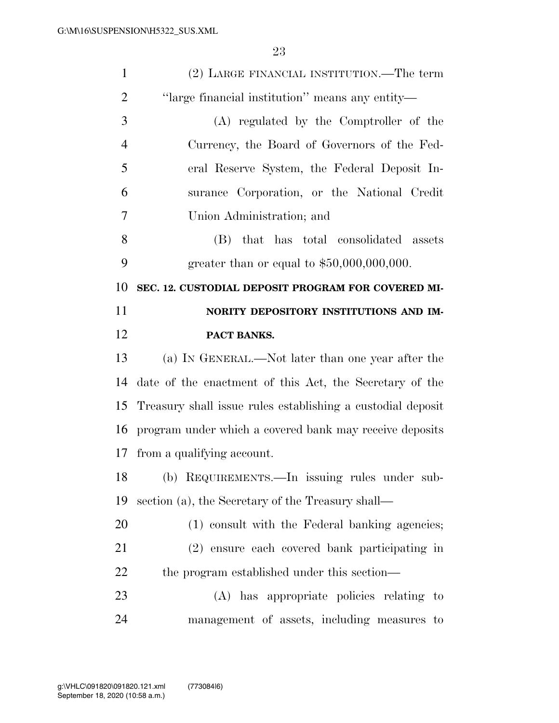| $\mathbf{1}$   | (2) LARGE FINANCIAL INSTITUTION.—The term                   |
|----------------|-------------------------------------------------------------|
| $\overline{2}$ | "large financial institution" means any entity—             |
| 3              | (A) regulated by the Comptroller of the                     |
| $\overline{4}$ | Currency, the Board of Governors of the Fed-                |
| 5              | eral Reserve System, the Federal Deposit In-                |
| 6              | surance Corporation, or the National Credit                 |
| 7              | Union Administration; and                                   |
| 8              | that has total consolidated assets<br>(B)                   |
| 9              | greater than or equal to $$50,000,000,000$ .                |
| 10             | SEC. 12. CUSTODIAL DEPOSIT PROGRAM FOR COVERED MI-          |
| 11             | NORITY DEPOSITORY INSTITUTIONS AND IM-                      |
| 12             | PACT BANKS.                                                 |
|                |                                                             |
| 13             | (a) IN GENERAL.—Not later than one year after the           |
| 14             | date of the enactment of this Act, the Secretary of the     |
| 15             | Treasury shall issue rules establishing a custodial deposit |
| 16             | program under which a covered bank may receive deposits     |
| 17             | from a qualifying account.                                  |
| 18             | (b) REQUIREMENTS.—In issuing rules under sub-               |
| 19             | section (a), the Secretary of the Treasury shall—           |
| 20             | (1) consult with the Federal banking agencies;              |
| 21             | (2) ensure each covered bank participating in               |
| 22             | the program established under this section—                 |
| 23             | (A) has appropriate policies relating to                    |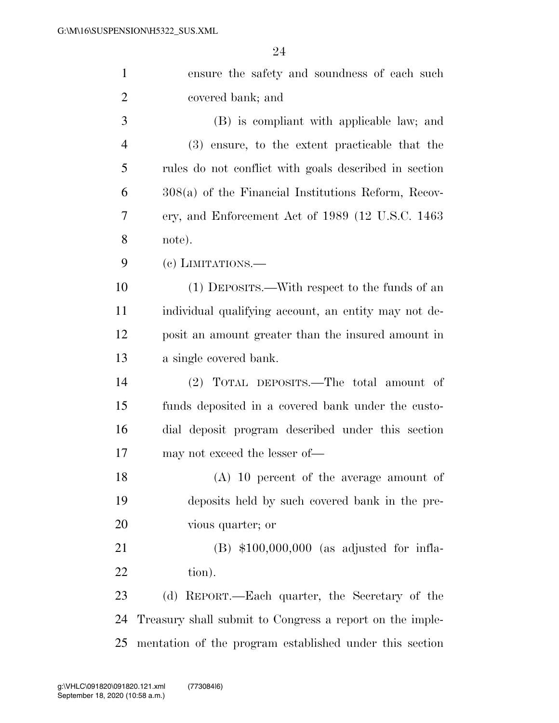| $\mathbf{1}$   | ensure the safety and soundness of each such             |
|----------------|----------------------------------------------------------|
| $\overline{2}$ | covered bank; and                                        |
| 3              | (B) is compliant with applicable law; and                |
| $\overline{4}$ | (3) ensure, to the extent practicable that the           |
| 5              | rules do not conflict with goals described in section    |
| 6              | $308(a)$ of the Financial Institutions Reform, Recov-    |
| 7              | ery, and Enforcement Act of 1989 (12 U.S.C. 1463)        |
| 8              | note).                                                   |
| 9              | (e) LIMITATIONS.—                                        |
| 10             | (1) DEPOSITS.—With respect to the funds of an            |
| <sup>11</sup>  | individual qualifying account, an entity may not de-     |
| 12             | posit an amount greater than the insured amount in       |
| 13             | a single covered bank.                                   |
| 14             | (2) TOTAL DEPOSITS.—The total amount of                  |
| 15             | funds deposited in a covered bank under the custo-       |
| 16             | dial deposit program described under this section        |
| 17             | may not exceed the lesser of—                            |
| 18             | (A) 10 percent of the average amount of                  |
| 19             | deposits held by such covered bank in the pre-           |
| 20             | vious quarter; or                                        |
| 21             | $(B)$ \$100,000,000 (as adjusted for infla-              |
| 22             | tion).                                                   |
| 23             | (d) REPORT.—Each quarter, the Secretary of the           |
| 24             | Treasury shall submit to Congress a report on the imple- |
| 25             | mentation of the program established under this section  |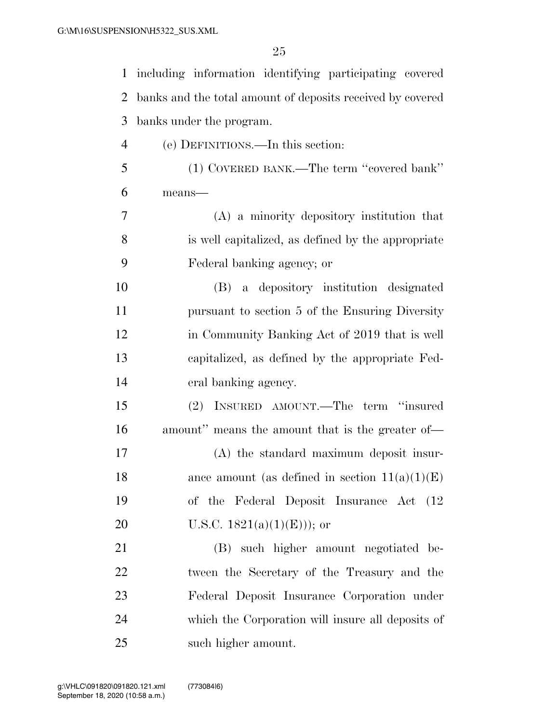| $\mathbf{1}$   | including information identifying participating covered    |
|----------------|------------------------------------------------------------|
| 2              | banks and the total amount of deposits received by covered |
| 3              | banks under the program.                                   |
| $\overline{4}$ | (e) DEFINITIONS.—In this section:                          |
| 5              | (1) COVERED BANK.—The term "covered bank"                  |
| 6              | means-                                                     |
| 7              | $(A)$ a minority depository institution that               |
| 8              | is well capitalized, as defined by the appropriate         |
| 9              | Federal banking agency; or                                 |
| 10             | (B) a depository institution designated                    |
| 11             | pursuant to section 5 of the Ensuring Diversity            |
| 12             | in Community Banking Act of 2019 that is well              |
| 13             | capitalized, as defined by the appropriate Fed-            |
| 14             | eral banking agency.                                       |
| 15             | (2) INSURED AMOUNT.—The term "insured                      |
| 16             | amount" means the amount that is the greater of-           |
| 17             | (A) the standard maximum deposit insur-                    |
| 18             | ance amount (as defined in section $11(a)(1)(E)$ )         |
| 19             | of the Federal Deposit Insurance Act (12)                  |
| 20             | U.S.C. $1821(a)(1)(E))$ ; or                               |
| 21             | (B) such higher amount negotiated be-                      |
| 22             | tween the Secretary of the Treasury and the                |
| 23             | Federal Deposit Insurance Corporation under                |
| 24             | which the Corporation will insure all deposits of          |
| 25             | such higher amount.                                        |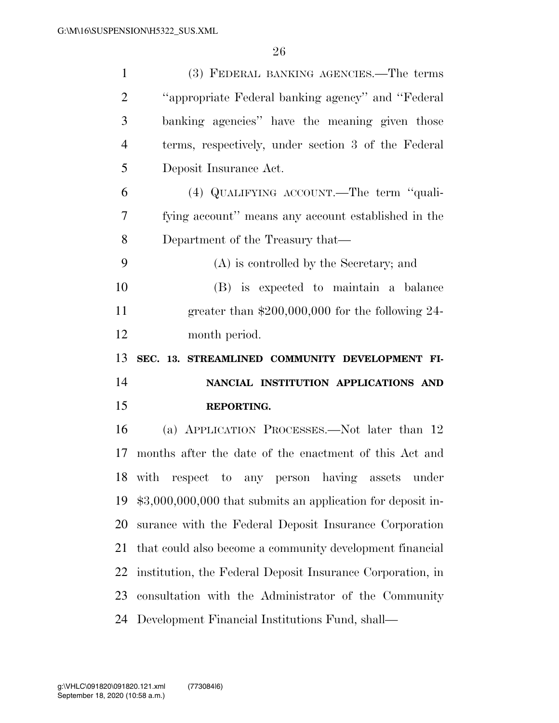| $\mathbf{1}$               | (3) FEDERAL BANKING AGENCIES.—The terms                      |
|----------------------------|--------------------------------------------------------------|
| $\overline{2}$             | "appropriate Federal banking agency" and "Federal            |
| 3                          | banking agencies" have the meaning given those               |
| $\overline{4}$             | terms, respectively, under section 3 of the Federal          |
| 5                          | Deposit Insurance Act.                                       |
| 6                          | (4) QUALIFYING ACCOUNT.—The term "quali-                     |
| $\overline{7}$             | fying account" means any account established in the          |
| 8                          | Department of the Treasury that—                             |
| 9                          | (A) is controlled by the Secretary; and                      |
| 10                         | (B) is expected to maintain a balance                        |
| 11                         | greater than $$200,000,000$ for the following 24-            |
| 12                         | month period.                                                |
|                            |                                                              |
|                            | SEC. 13. STREAMLINED COMMUNITY DEVELOPMENT FI-               |
|                            | NANCIAL INSTITUTION APPLICATIONS AND                         |
|                            | REPORTING.                                                   |
|                            | (a) APPLICATION PROCESSES.—Not later than 12                 |
| 13<br>14<br>15<br>16<br>17 | months after the date of the enactment of this Act and       |
|                            | 18 with respect to any person having assets under            |
| 19                         | $$3,000,000,000$ that submits an application for deposit in- |
|                            | surance with the Federal Deposit Insurance Corporation       |
| 20<br>21                   | that could also become a community development financial     |
| 22                         | institution, the Federal Deposit Insurance Corporation, in   |
| 23                         | consultation with the Administrator of the Community         |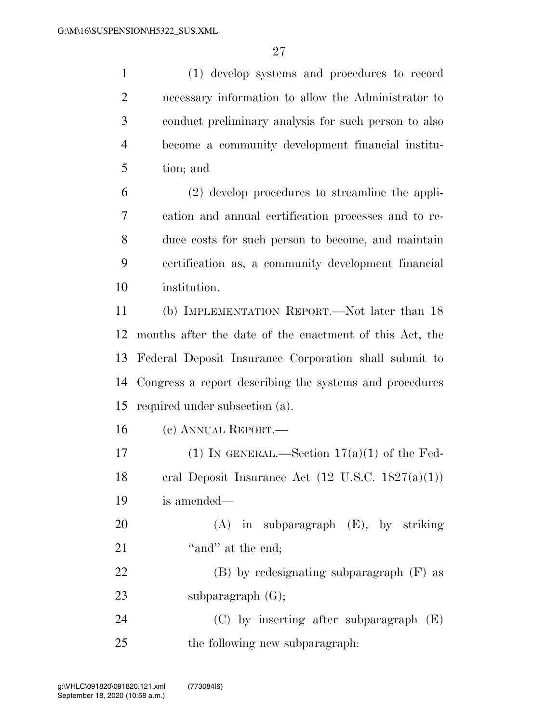(1) develop systems and procedures to record necessary information to allow the Administrator to conduct preliminary analysis for such person to also become a community development financial institu-tion; and

 (2) develop procedures to streamline the appli- cation and annual certification processes and to re- duce costs for such person to become, and maintain certification as, a community development financial institution.

 (b) IMPLEMENTATION REPORT.—Not later than 18 months after the date of the enactment of this Act, the Federal Deposit Insurance Corporation shall submit to Congress a report describing the systems and procedures required under subsection (a).

(c) ANNUAL REPORT.—

17 (1) IN GENERAL.—Section  $17(a)(1)$  of the Fed-18 eral Deposit Insurance Act  $(12 \text{ U.S.C. } 1827(a)(1))$ is amended—

 (A) in subparagraph (E), by striking 21 "and" at the end; (B) by redesignating subparagraph (F) as

23 subparagraph (G);

 (C) by inserting after subparagraph (E) the following new subparagraph: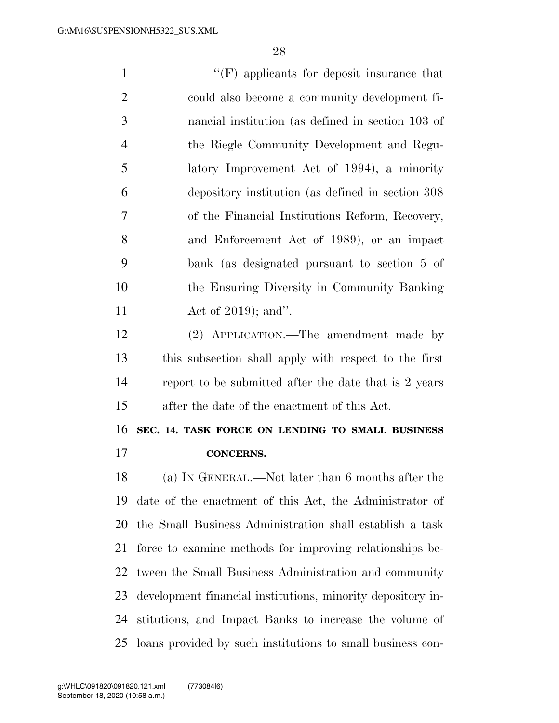''(F) applicants for deposit insurance that could also become a community development fi- nancial institution (as defined in section 103 of the Riegle Community Development and Regu- latory Improvement Act of 1994), a minority depository institution (as defined in section 308 of the Financial Institutions Reform, Recovery, and Enforcement Act of 1989), or an impact bank (as designated pursuant to section 5 of the Ensuring Diversity in Community Banking 11 Act of 2019); and". (2) APPLICATION.—The amendment made by this subsection shall apply with respect to the first report to be submitted after the date that is 2 years after the date of the enactment of this Act. **SEC. 14. TASK FORCE ON LENDING TO SMALL BUSINESS CONCERNS.**  (a) IN GENERAL.—Not later than 6 months after the date of the enactment of this Act, the Administrator of the Small Business Administration shall establish a task force to examine methods for improving relationships be- tween the Small Business Administration and community development financial institutions, minority depository in- stitutions, and Impact Banks to increase the volume of loans provided by such institutions to small business con